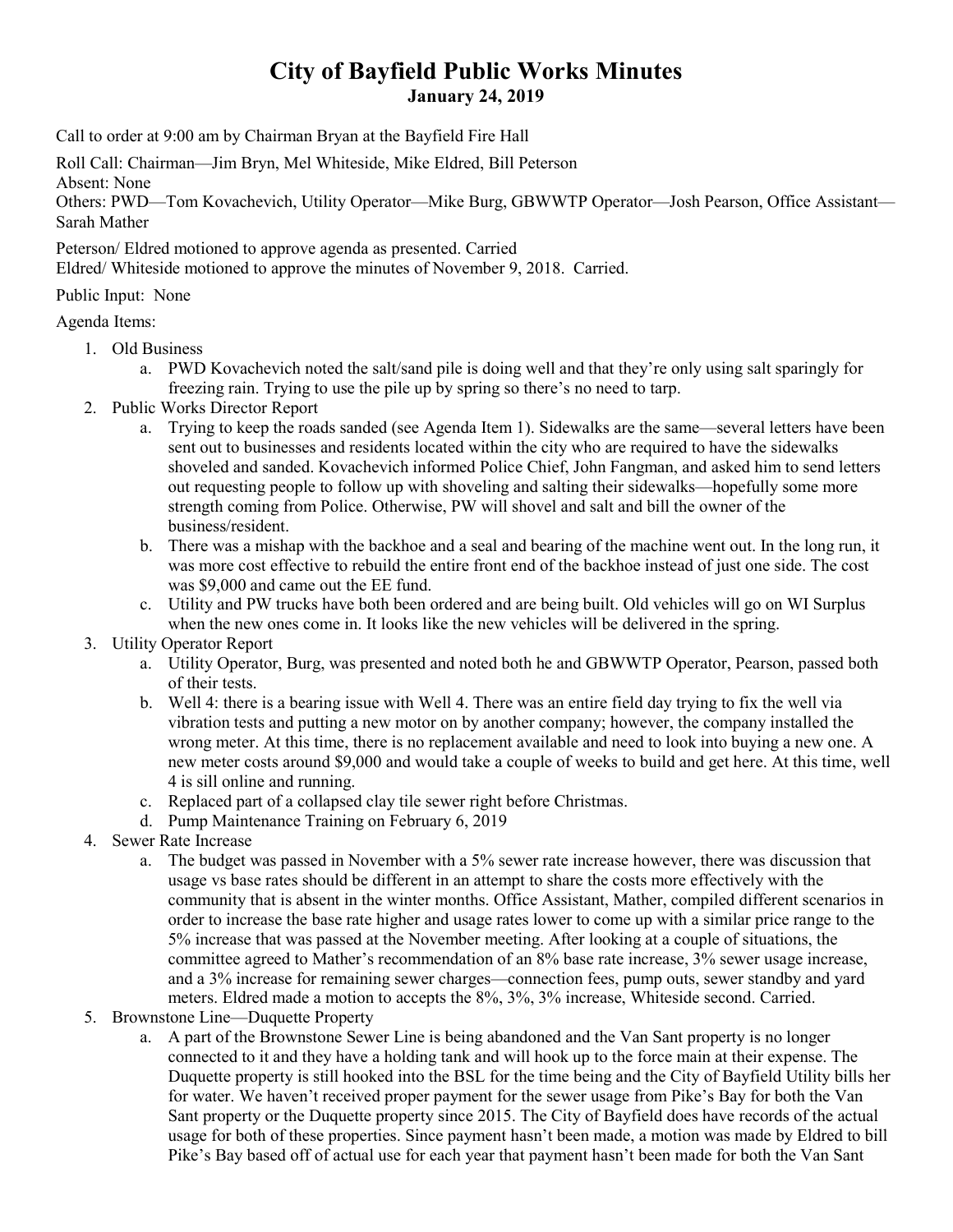## **City of Bayfield Public Works Minutes January 24, 2019**

Call to order at 9:00 am by Chairman Bryan at the Bayfield Fire Hall

Roll Call: Chairman—Jim Bryn, Mel Whiteside, Mike Eldred, Bill Peterson Absent: None

Others: PWD—Tom Kovachevich, Utility Operator—Mike Burg, GBWWTP Operator—Josh Pearson, Office Assistant— Sarah Mather

Peterson/ Eldred motioned to approve agenda as presented. Carried Eldred/ Whiteside motioned to approve the minutes of November 9, 2018. Carried.

Public Input: None

Agenda Items:

- 1. Old Business
	- a. PWD Kovachevich noted the salt/sand pile is doing well and that they're only using salt sparingly for freezing rain. Trying to use the pile up by spring so there's no need to tarp.
- 2. Public Works Director Report
	- a. Trying to keep the roads sanded (see Agenda Item 1). Sidewalks are the same—several letters have been sent out to businesses and residents located within the city who are required to have the sidewalks shoveled and sanded. Kovachevich informed Police Chief, John Fangman, and asked him to send letters out requesting people to follow up with shoveling and salting their sidewalks—hopefully some more strength coming from Police. Otherwise, PW will shovel and salt and bill the owner of the business/resident.
	- b. There was a mishap with the backhoe and a seal and bearing of the machine went out. In the long run, it was more cost effective to rebuild the entire front end of the backhoe instead of just one side. The cost was \$9,000 and came out the EE fund.
	- c. Utility and PW trucks have both been ordered and are being built. Old vehicles will go on WI Surplus when the new ones come in. It looks like the new vehicles will be delivered in the spring.
- 3. Utility Operator Report
	- a. Utility Operator, Burg, was presented and noted both he and GBWWTP Operator, Pearson, passed both of their tests.
	- b. Well 4: there is a bearing issue with Well 4. There was an entire field day trying to fix the well via vibration tests and putting a new motor on by another company; however, the company installed the wrong meter. At this time, there is no replacement available and need to look into buying a new one. A new meter costs around \$9,000 and would take a couple of weeks to build and get here. At this time, well 4 is sill online and running.
	- c. Replaced part of a collapsed clay tile sewer right before Christmas.
	- d. Pump Maintenance Training on February 6, 2019
- 4. Sewer Rate Increase
	- a. The budget was passed in November with a 5% sewer rate increase however, there was discussion that usage vs base rates should be different in an attempt to share the costs more effectively with the community that is absent in the winter months. Office Assistant, Mather, compiled different scenarios in order to increase the base rate higher and usage rates lower to come up with a similar price range to the 5% increase that was passed at the November meeting. After looking at a couple of situations, the committee agreed to Mather's recommendation of an 8% base rate increase, 3% sewer usage increase, and a 3% increase for remaining sewer charges—connection fees, pump outs, sewer standby and yard meters. Eldred made a motion to accepts the 8%, 3%, 3% increase, Whiteside second. Carried.
- 5. Brownstone Line—Duquette Property
	- a. A part of the Brownstone Sewer Line is being abandoned and the Van Sant property is no longer connected to it and they have a holding tank and will hook up to the force main at their expense. The Duquette property is still hooked into the BSL for the time being and the City of Bayfield Utility bills her for water. We haven't received proper payment for the sewer usage from Pike's Bay for both the Van Sant property or the Duquette property since 2015. The City of Bayfield does have records of the actual usage for both of these properties. Since payment hasn't been made, a motion was made by Eldred to bill Pike's Bay based off of actual use for each year that payment hasn't been made for both the Van Sant